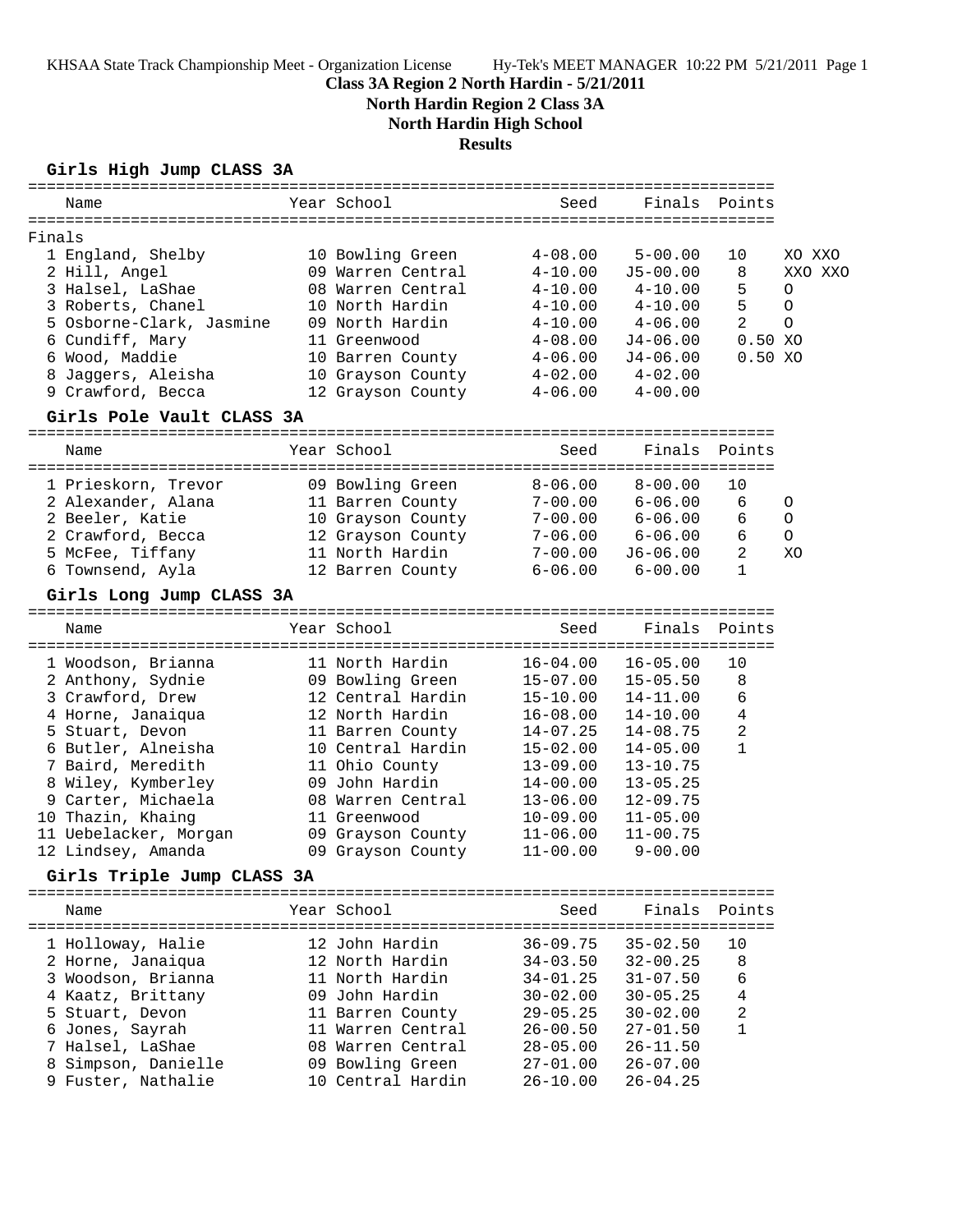KHSAA State Track Championship Meet - Organization License Hy-Tek's MEET MANAGER 10:22 PM 5/21/2011 Page 1

## **Class 3A Region 2 North Hardin - 5/21/2011**

**North Hardin Region 2 Class 3A**

**North Hardin High School**

### **Results**

### **Girls High Jump CLASS 3A**

|        | Name                                                | Year School                                                | Seed                  |                         | Finals Points  |         |
|--------|-----------------------------------------------------|------------------------------------------------------------|-----------------------|-------------------------|----------------|---------|
| Finals |                                                     |                                                            |                       |                         |                |         |
|        | 1 England, Shelby                                   | 10 Bowling Green                                           | $4 - 08.00$           | $5 - 00.00$             | 10             | XO XXO  |
|        | 2 Hill, Angel                                       | 09 Warren Central                                          | $4 - 10.00$           | $J5 - 00.00$            | 8              | XXO XXO |
|        | 3 Halsel, LaShae                                    | 08 Warren Central                                          | $4 - 10.00$           | $4 - 10.00$             | 5              | O       |
|        | 3 Roberts, Chanel                                   | 10 North Hardin                                            | $4 - 10.00$           | $4 - 10.00$             | 5              | $\circ$ |
|        | 5 Osborne-Clark, Jasmine 09 North Hardin            |                                                            |                       | $4-10.00$ $4-06.00$     | $\overline{2}$ | $\circ$ |
|        | 6 Cundiff, Mary                                     | 11 Greenwood                                               | $4 - 08.00$           | J4-06.00                | 0.50 XO        |         |
|        | 6 Wood, Maddie                                      | 10 Barren County                                           | $4 - 06.00$           | J4-06.00                | 0.50 XO        |         |
|        | 8 Jaggers, Aleisha                                  | 10 Grayson County 4-02.00                                  |                       | $4 - 02.00$             |                |         |
|        | 9 Crawford, Becca                                   | 12 Grayson County 4-06.00 4-00.00                          |                       |                         |                |         |
|        | Girls Pole Vault CLASS 3A                           |                                                            |                       |                         |                |         |
|        | Name                                                | Year School                                                | Seed                  | Finals                  | Points         |         |
|        | 1 Prieskorn, Trevor                                 | 09 Bowling Green                                           |                       | $8 - 06.00$ $8 - 00.00$ | 10             |         |
|        | 2 Alexander, Alana                                  | 11 Barren County                                           | $7-00.00$ 6-06.00     |                         | 6              | 0       |
|        | 2 Beeler, Katie                                     | 10 Grayson County 7-00.00 6-06.00                          |                       |                         | 6              | O       |
|        | 2 Crawford, Becca 12 Grayson County 7-06.00 6-06.00 |                                                            |                       |                         | 6              | $\circ$ |
|        | 5 McFee, Tiffany 11 North Hardin                    |                                                            |                       | 7-00.00 J6-06.00        | 2              | XO      |
|        | 6 Townsend, Ayla                  12 Barren County  |                                                            |                       | $6 - 06.00$ $6 - 00.00$ | $\mathbf{1}$   |         |
|        | Girls Long Jump CLASS 3A                            |                                                            |                       |                         |                |         |
|        | Name                                                | Year School                                                | Seed                  | Finals                  | Points         |         |
|        | 1 Woodson, Brianna                                  | 11 North Hardin                                            | $16-04.00$ $16-05.00$ |                         | 10             |         |
|        | 2 Anthony, Sydnie                                   |                                                            | 15-07.00 15-05.50     |                         | $\,8\,$        |         |
|        | 3 Crawford, Drew                                    | 09 Bowling Green<br>12 Central Hardin<br>12 Central Hardin | 15-10.00              | 14-11.00                | 6              |         |
|        | 4 Horne, Janaiqua                                   | 12 North Hardin                                            | 16-08.00              | $14 - 10.00$            | 4              |         |
|        | 5 Stuart, Devon                                     | 11 Barren County                                           | 14-07.25              | $14 - 08.75$            | $\overline{a}$ |         |
|        | 6 Butler, Alneisha                                  | 10 Central Hardin                                          | 15-02.00              | $14 - 05.00$            | $\mathbf{1}$   |         |
|        | 7 Baird, Meredith                                   | 11 Ohio County                                             | $13 - 09.00$          | $13 - 10.75$            |                |         |
|        | 8 Wiley, Kymberley                                  | 09 John Hardin                                             | 14-00.00              | $13 - 05.25$            |                |         |
|        | 9 Carter, Michaela                                  | 08 Warren Central                                          | $13 - 06.00$          | $12 - 09.75$            |                |         |
|        | 10 Thazin, Khaing                                   | 11 Greenwood                                               | 10-09.00              | $11 - 05.00$            |                |         |
|        | 11 Uebelacker, Morgan 19 Grayson County             |                                                            | $11 - 06.00$          | $11 - 00.75$            |                |         |
|        | 12 Lindsey, Amanda                                  | 09 Grayson County                                          | $11 - 00.00$          | $9 - 00.00$             |                |         |
|        | Girls Triple Jump CLASS 3A                          |                                                            |                       |                         |                |         |
|        | Name                                                | Year School                                                | Seed                  | Finals                  | Points         |         |
|        |                                                     |                                                            |                       |                         |                |         |
|        | 1 Holloway, Halie                                   | 12 John Hardin                                             | $36 - 09.75$          | $35 - 02.50$            | 10             |         |
|        | 2 Horne, Janaiqua                                   | 12 North Hardin                                            | $34 - 03.50$          | $32 - 00.25$            | 8              |         |
|        | 3 Woodson, Brianna                                  | 11 North Hardin                                            | $34 - 01.25$          | $31 - 07.50$            | 6              |         |
|        | 4 Kaatz, Brittany                                   | 09 John Hardin                                             | $30 - 02.00$          | $30 - 05.25$            | 4              |         |
|        | 5 Stuart, Devon                                     | 11 Barren County                                           | $29 - 05.25$          | $30 - 02.00$            | 2              |         |
|        | 6 Jones, Sayrah                                     | 11 Warren Central                                          | $26 - 00.50$          | $27 - 01.50$            | $\mathbf{1}$   |         |
|        | 7 Halsel, LaShae                                    | 08 Warren Central                                          | $28 - 05.00$          | $26 - 11.50$            |                |         |
|        | 8 Simpson, Danielle                                 | 09 Bowling Green                                           | $27 - 01.00$          | $26 - 07.00$            |                |         |
|        | 9 Fuster, Nathalie                                  | 10 Central Hardin                                          | $26 - 10.00$          | $26 - 04.25$            |                |         |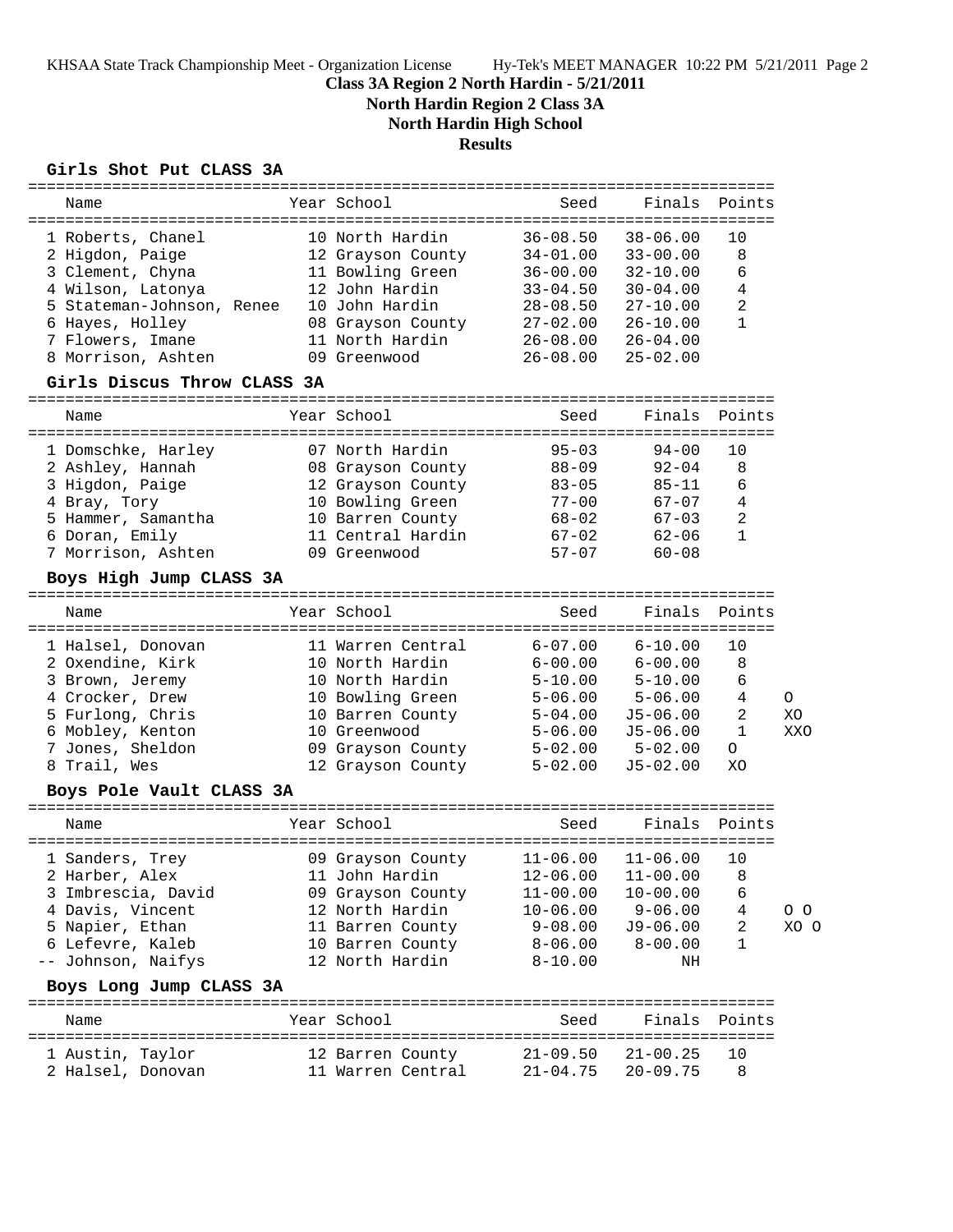KHSAA State Track Championship Meet - Organization License Hy-Tek's MEET MANAGER 10:22 PM 5/21/2011 Page 2

## **Class 3A Region 2 North Hardin - 5/21/2011**

**North Hardin Region 2 Class 3A**

**North Hardin High School**

### **Results**

#### **Girls Shot Put CLASS 3A**

| Name                                                                                                                                                                                                           | Year School                                                                                                                                                                  | Seed                                                                                                                 | Finals                                                                                                                                 | Points                                                  |                |
|----------------------------------------------------------------------------------------------------------------------------------------------------------------------------------------------------------------|------------------------------------------------------------------------------------------------------------------------------------------------------------------------------|----------------------------------------------------------------------------------------------------------------------|----------------------------------------------------------------------------------------------------------------------------------------|---------------------------------------------------------|----------------|
| 1 Roberts, Chanel<br>2 Higdon, Paige<br>3 Clement, Chyna<br>4 Wilson, Latonya<br>5 Stateman-Johnson, Renee<br>6 Hayes, Holley<br>7 Flowers, Imane<br>8 Morrison, Ashten<br>Girls Discus Throw CLASS 3A<br>Name | 10 North Hardin<br>12 Grayson County<br>11 Bowling Green<br>12 John Hardin<br>10 John Hardin<br>08 Grayson County 27-02.00<br>11 North Hardin<br>09 Greenwood<br>Year School | $36 - 08.50$<br>$34 - 01.00$<br>$36 - 00.00$<br>$33 - 04.50$<br>$28 - 08.50$<br>$26 - 08.00$<br>$26 - 08.00$<br>Seed | $38 - 06.00$<br>$33 - 00.00$<br>$32 - 10.00$<br>$30 - 04.00$<br>$27 - 10.00$<br>$26 - 10.00$<br>$26 - 04.00$<br>$25 - 02.00$<br>Finals | 10<br>8<br>6<br>4<br>2<br>$\mathbf{1}$<br>Points        |                |
| 1 Domschke, Harley<br>2 Ashley, Hannah<br>3 Higdon, Paige<br>4 Bray, Tory<br>5 Hammer, Samantha<br>6 Doran, Emily<br>7 Morrison, Ashten<br>Boys High Jump CLASS 3A                                             | 07 North Hardin<br>08 Grayson County<br>12 Grayson County<br>10 Bowling Green<br>10 Barren County<br>11 Central Hardin<br>09 Greenwood                                       | $95 - 03$<br>88-09<br>$83 - 05$<br>$77 - 00$<br>68-02<br>$67 - 02$<br>$57 - 07$                                      | $94 - 00$<br>$92 - 04$<br>85-11<br>$67 - 07$<br>$67 - 03$<br>$62 - 06$<br>$60 - 08$                                                    | 10<br>8<br>6<br>4<br>2<br>$\mathbf{1}$                  |                |
| Name                                                                                                                                                                                                           | Year School                                                                                                                                                                  | Seed                                                                                                                 | Finals                                                                                                                                 | Points                                                  |                |
| 1 Halsel, Donovan<br>2 Oxendine, Kirk<br>3 Brown, Jeremy<br>4 Crocker, Drew<br>5 Furlong, Chris<br>6 Mobley, Kenton<br>7 Jones, Sheldon<br>8 Trail, Wes<br>Boys Pole Vault CLASS 3A                            | 11 Warren Central<br>10 North Hardin<br>10 North Hardin<br>10 Bowling Green<br>10 Barren County<br>10 Greenwood<br>09 Grayson County<br>12 Grayson County                    | $6 - 07.00$<br>$6 - 00.00$<br>$5 - 10.00$<br>$5 - 06.00$<br>$5 - 04.00$<br>$5 - 06.00$<br>$5 - 02.00$<br>$5 - 02.00$ | $6 - 10.00$<br>$6 - 00.00$<br>$5 - 10.00$<br>$5 - 06.00$<br>J5-06.00<br>$J5 - 06.00$<br>$5 - 02.00$<br>$J5 - 02.00$                    | 10<br>8<br>6<br>4<br>2<br>$\mathbf{1}$<br>$\circ$<br>XO | O<br>XO<br>XXO |
| Name                                                                                                                                                                                                           | Year School                                                                                                                                                                  | Seed                                                                                                                 | Finals                                                                                                                                 | Points                                                  |                |
| 1 Sanders, Trey<br>2 Harber, Alex<br>3 Imbrescia, David<br>4 Davis, Vincent<br>5 Napier, Ethan<br>6 Lefevre, Kaleb<br>-- Johnson, Naifys<br>Boys Long Jump CLASS 3A                                            | 09 Grayson County<br>11 John Hardin 12-06.00 11-00.00 8<br>09 Grayson County<br>12 North Hardin<br>11 Barren County<br>10 Barren County<br>12 North Hardin                   | $11-06.00$ $11-06.00$<br>$11 - 00.00$<br>$10 - 06.00$<br>9-08.00<br>8-06.00<br>$8 - 10.00$                           | $10 - 00.00$<br>$9 - 06.00$<br>$J9-06.00$<br>$8 - 00.00$<br>NH                                                                         | 10<br>6<br>4<br>2<br>$\mathbf{1}$                       | 0 O<br>XO O    |
| Name                                                                                                                                                                                                           | Year School                                                                                                                                                                  | Seed                                                                                                                 |                                                                                                                                        | Finals Points                                           |                |
| 1 Austin, Taylor<br>2 Halsel, Donovan                                                                                                                                                                          | 12 Barren County<br>11 Warren Central                                                                                                                                        | $21 - 09.50$<br>$21 - 04.75$                                                                                         | 21-00.25<br>$20 - 09.75$                                                                                                               | 10<br>8                                                 |                |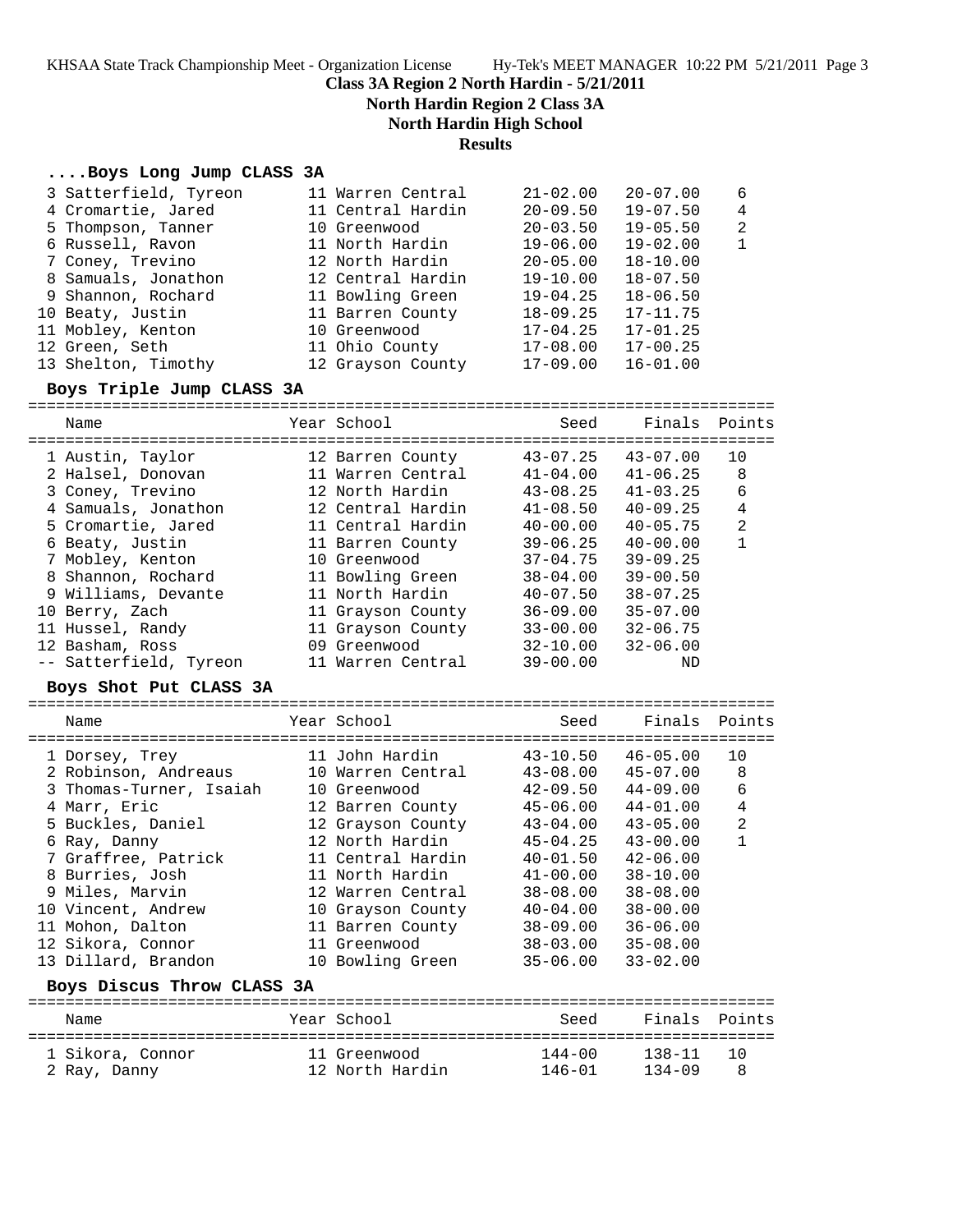**Class 3A Region 2 North Hardin - 5/21/2011**

**North Hardin Region 2 Class 3A**

**North Hardin High School**

**Results**

#### **....Boys Long Jump CLASS 3A**

| 3 Satterfield, Tyreon | 11 Warren Central | $21 - 02.00$ | $20 - 07.00$ | -6             |
|-----------------------|-------------------|--------------|--------------|----------------|
| 4 Cromartie, Jared    | 11 Central Hardin | $20 - 09.50$ | $19 - 07.50$ | $\overline{4}$ |
| 5 Thompson, Tanner    | 10 Greenwood      | $20 - 03.50$ | $19 - 05.50$ | $\overline{2}$ |
| 6 Russell, Ravon      | 11 North Hardin   | $19 - 06.00$ | $19 - 02.00$ | $\mathbf{1}$   |
| 7 Coney, Trevino      | 12 North Hardin   | $20 - 05.00$ | $18 - 10.00$ |                |
| 8 Samuals, Jonathon   | 12 Central Hardin | $19 - 10.00$ | $18 - 07.50$ |                |
| 9 Shannon, Rochard    | 11 Bowling Green  | $19 - 04.25$ | $18 - 06.50$ |                |
| 10 Beaty, Justin      | 11 Barren County  | $18 - 09.25$ | $17 - 11.75$ |                |
| 11 Mobley, Kenton     | 10 Greenwood      | $17 - 04.25$ | $17 - 01.25$ |                |
| 12 Green, Seth        | 11 Ohio County    | $17 - 08.00$ | $17 - 00.25$ |                |
| 13 Shelton, Timothy   | 12 Grayson County | $17-09.00$   | $16 - 01.00$ |                |

#### **Boys Triple Jump CLASS 3A**

================================================================================ Name Year School Seed Finals Points ================================================================================ 1 Austin, Taylor 12 Barren County 43-07.25 43-07.00 10 2 Halsel, Donovan 11 Warren Central 41-04.00 41-06.25 8 3 Coney, Trevino 12 North Hardin 43-08.25 41-03.25 6 4 Samuals, Jonathon 12 Central Hardin 41-08.50 40-09.25 4 5 Cromartie, Jared 11 Central Hardin 40-00.00 40-05.75 2 6 Beaty, Justin 11 Barren County 39-06.25 40-00.00 1 7 Mobley, Kenton 10 Greenwood 37-04.75 39-09.25 8 Shannon, Rochard 11 Bowling Green 38-04.00 39-00.50 9 Williams, Devante 11 North Hardin 40-07.50 38-07.25 10 Berry, Zach 11 Grayson County 36-09.00 35-07.00 11 Hussel, Randy 11 Grayson County 33-00.00 32-06.75 12 Basham, Ross 09 Greenwood 32-10.00 32-06.00 -- Satterfield, Tyreon 11 Warren Central 39-00.00 ND

#### **Boys Shot Put CLASS 3A**

| Name                    | Year School       | Seed         | Finals Points |                |
|-------------------------|-------------------|--------------|---------------|----------------|
| 1 Dorsey, Trey          | 11 John Hardin    | $43 - 10.50$ | $46 - 05.00$  | 10             |
| 2 Robinson, Andreaus    | 10 Warren Central | $43 - 08.00$ | $45 - 07.00$  | 8              |
| 3 Thomas-Turner, Isaiah | 10 Greenwood      | $42 - 09.50$ | $44 - 09.00$  | 6              |
| 4 Marr, Eric            | 12 Barren County  | $45 - 06.00$ | $44 - 01.00$  | 4              |
| 5 Buckles, Daniel       | 12 Grayson County | $43 - 04.00$ | $43 - 05.00$  | $\overline{2}$ |
| 6 Ray, Danny            | 12 North Hardin   | $45 - 04.25$ | $43 - 00.00$  |                |
| 7 Graffree, Patrick     | 11 Central Hardin | $40 - 01.50$ | $42 - 06.00$  |                |
| 8 Burries, Josh         | 11 North Hardin   | $41 - 00.00$ | $38 - 10.00$  |                |
| 9 Miles, Marvin         | 12 Warren Central | $38 - 08.00$ | $38 - 08.00$  |                |
| 10 Vincent, Andrew      | 10 Grayson County | $40 - 04.00$ | $38 - 00.00$  |                |
| 11 Mohon, Dalton        | 11 Barren County  | $38 - 09.00$ | $36 - 06.00$  |                |
| 12 Sikora, Connor       | 11 Greenwood      | $38 - 03.00$ | $35 - 08.00$  |                |
| 13 Dillard, Brandon     | 10 Bowling Green  | $35 - 06.00$ | $33 - 02.00$  |                |
|                         |                   |              |               |                |

#### **Boys Discus Throw CLASS 3A**

| Name             | Year School     | Seed       | Finals Points |           |
|------------------|-----------------|------------|---------------|-----------|
| 1 Sikora, Connor | 11 Greenwood    | $144 - 00$ | $138 - 11$    | <u>າດ</u> |
| 2 Ray, Danny     | 12 North Hardin | 146-01     | $134 - 09$    | 8         |